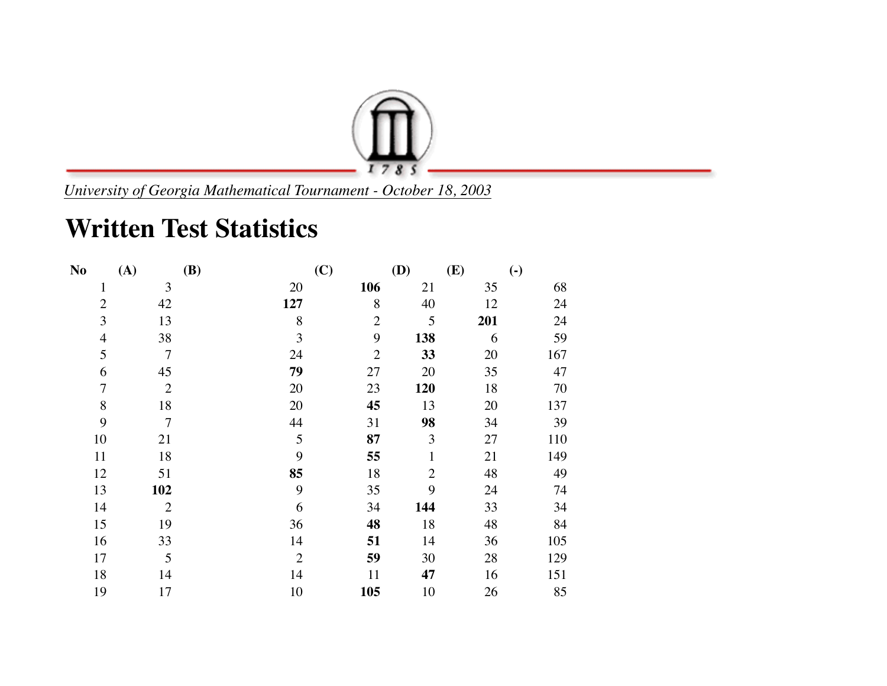

*University of Georgia Mathematical Tournament - October 18, 2003*

## **Written Test Statistics**

| N <sub>0</sub> | (A)            | <b>(B)</b>     | (C)            | (D)            | (E) | $\left( \text{-} \right)$ |
|----------------|----------------|----------------|----------------|----------------|-----|---------------------------|
| $\mathbf{1}$   | 3              | 20             | 106            | 21             | 35  | 68                        |
| $\overline{2}$ | 42             | 127            | 8              | 40             | 12  | 24                        |
| 3              | 13             | 8              | $\overline{2}$ | 5              | 201 | 24                        |
| $\overline{4}$ | 38             | 3              | 9              | 138            | 6   | 59                        |
| 5              | $\overline{7}$ | 24             | $\overline{2}$ | 33             | 20  | 167                       |
| 6              | 45             | 79             | 27             | 20             | 35  | 47                        |
| $\overline{7}$ | $\overline{2}$ | 20             | 23             | 120            | 18  | 70                        |
| 8              | 18             | 20             | 45             | 13             | 20  | 137                       |
| 9              | $\overline{7}$ | 44             | 31             | 98             | 34  | 39                        |
| 10             | 21             | 5              | 87             | 3              | 27  | 110                       |
| 11             | 18             | 9              | 55             | $\mathbf{1}$   | 21  | 149                       |
| 12             | 51             | 85             | 18             | $\overline{2}$ | 48  | 49                        |
| 13             | 102            | 9              | 35             | 9              | 24  | 74                        |
| 14             | $\overline{2}$ | 6              | 34             | 144            | 33  | 34                        |
| 15             | 19             | 36             | 48             | 18             | 48  | 84                        |
| 16             | 33             | 14             | 51             | 14             | 36  | 105                       |
| 17             | 5              | $\overline{2}$ | 59             | 30             | 28  | 129                       |
| 18             | 14             | 14             | 11             | 47             | 16  | 151                       |
| 19             | 17             | 10             | 105            | 10             | 26  | 85                        |